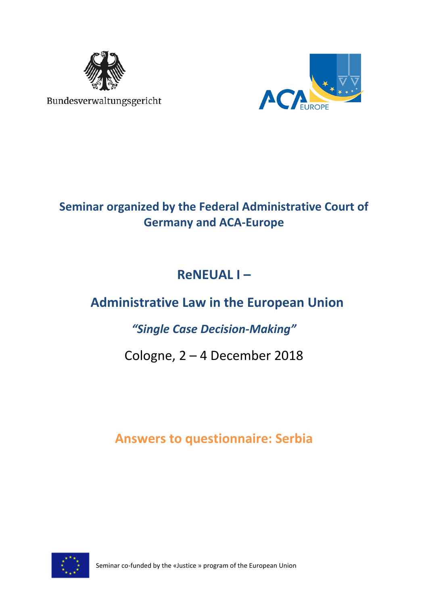

Bundesverwaltungsgericht



## **Seminar organized by the Federal Administrative Court of Germany and ACA-Europe**

# **ReNEUAL I –**

# **Administrative Law in the European Union**

## *"Single Case Decision-Making"*

## Cologne, 2 – 4 December 2018

## **Answers to questionnaire: Serbia**



Seminar co-funded by the «Justice » program of the European Union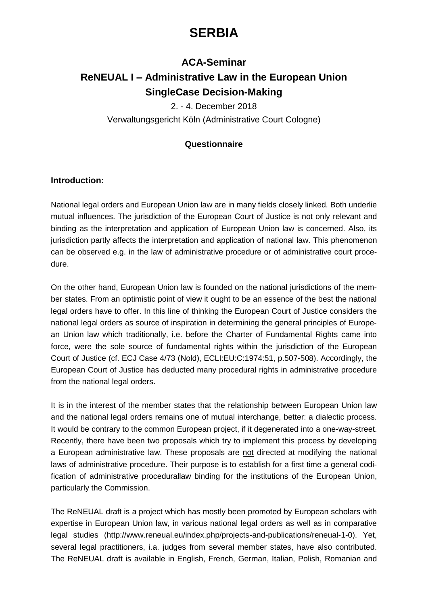## **SERBIA**

## **ACA-Seminar ReNEUAL I – Administrative Law in the European Union SingleCase Decision-Making**

2. - 4. December 2018 Verwaltungsgericht Köln (Administrative Court Cologne)

## **Questionnaire**

## **Introduction:**

National legal orders and European Union law are in many fields closely linked. Both underlie mutual influences. The jurisdiction of the European Court of Justice is not only relevant and binding as the interpretation and application of European Union law is concerned. Also, its jurisdiction partly affects the interpretation and application of national law. This phenomenon can be observed e.g. in the law of administrative procedure or of administrative court procedure.

On the other hand, European Union law is founded on the national jurisdictions of the member states. From an optimistic point of view it ought to be an essence of the best the national legal orders have to offer. In this line of thinking the European Court of Justice considers the national legal orders as source of inspiration in determining the general principles of European Union law which traditionally, i.e. before the Charter of Fundamental Rights came into force, were the sole source of fundamental rights within the jurisdiction of the European Court of Justice (cf. ECJ Case 4/73 (Nold), ECLI:EU:C:1974:51, p.507-508). Accordingly, the European Court of Justice has deducted many procedural rights in administrative procedure from the national legal orders.

It is in the interest of the member states that the relationship between European Union law and the national legal orders remains one of mutual interchange, better: a dialectic process. It would be contrary to the common European project, if it degenerated into a one-way-street. Recently, there have been two proposals which try to implement this process by developing a European administrative law. These proposals are not directed at modifying the national laws of administrative procedure. Their purpose is to establish for a first time a general codification of administrative procedurallaw binding for the institutions of the European Union, particularly the Commission.

The ReNEUAL draft is a project which has mostly been promoted by European scholars with expertise in European Union law, in various national legal orders as well as in comparative legal studies (http://www.reneual.eu/index.php/projects-and-publications/reneual-1-0). Yet, several legal practitioners, i.a. judges from several member states, have also contributed. The ReNEUAL draft is available in English, French, German, Italian, Polish, Romanian and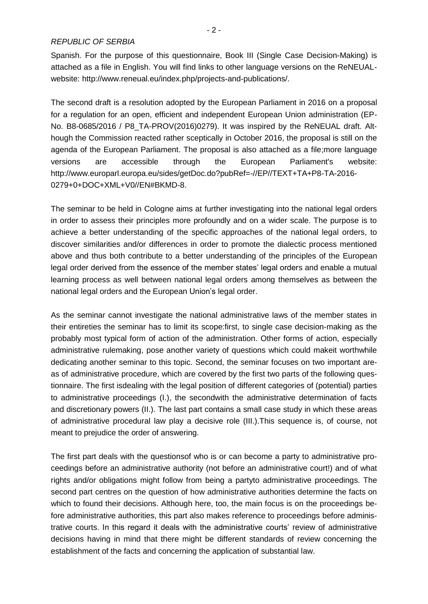$-2-$ 

#### *REPUBLIC OF SERBIA*

Spanish. For the purpose of this questionnaire, Book III (Single Case Decision-Making) is attached as a file in English. You will find links to other language versions on the ReNEUALwebsite: http://www.reneual.eu/index.php/projects-and-publications/.

The second draft is a resolution adopted by the European Parliament in 2016 on a proposal for a regulation for an open, efficient and independent European Union administration (EP-No. B8-0685/2016 / P8\_TA-PROV(2016)0279). It was inspired by the ReNEUAL draft. Although the Commission reacted rather sceptically in October 2016, the proposal is still on the agenda of the European Parliament. The proposal is also attached as a file;more language versions are accessible through the European Parliament's website: http://www.europarl.europa.eu/sides/getDoc.do?pubRef=-//EP//TEXT+TA+P8-TA-2016- 0279+0+DOC+XML+V0//EN#BKMD-8.

The seminar to be held in Cologne aims at further investigating into the national legal orders in order to assess their principles more profoundly and on a wider scale. The purpose is to achieve a better understanding of the specific approaches of the national legal orders, to discover similarities and/or differences in order to promote the dialectic process mentioned above and thus both contribute to a better understanding of the principles of the European legal order derived from the essence of the member states' legal orders and enable a mutual learning process as well between national legal orders among themselves as between the national legal orders and the European Union's legal order.

As the seminar cannot investigate the national administrative laws of the member states in their entireties the seminar has to limit its scope:first, to single case decision-making as the probably most typical form of action of the administration. Other forms of action, especially administrative rulemaking, pose another variety of questions which could makeit worthwhile dedicating another seminar to this topic. Second, the seminar focuses on two important areas of administrative procedure, which are covered by the first two parts of the following questionnaire. The first isdealing with the legal position of different categories of (potential) parties to administrative proceedings (I.), the secondwith the administrative determination of facts and discretionary powers (II.). The last part contains a small case study in which these areas of administrative procedural law play a decisive role (III.).This sequence is, of course, not meant to prejudice the order of answering.

The first part deals with the questionsof who is or can become a party to administrative proceedings before an administrative authority (not before an administrative court!) and of what rights and/or obligations might follow from being a partyto administrative proceedings. The second part centres on the question of how administrative authorities determine the facts on which to found their decisions. Although here, too, the main focus is on the proceedings before administrative authorities, this part also makes reference to proceedings before administrative courts. In this regard it deals with the administrative courts' review of administrative decisions having in mind that there might be different standards of review concerning the establishment of the facts and concerning the application of substantial law.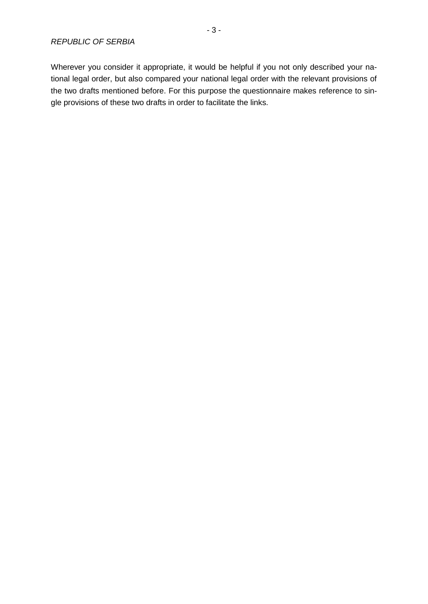Wherever you consider it appropriate, it would be helpful if you not only described your national legal order, but also compared your national legal order with the relevant provisions of the two drafts mentioned before. For this purpose the questionnaire makes reference to single provisions of these two drafts in order to facilitate the links.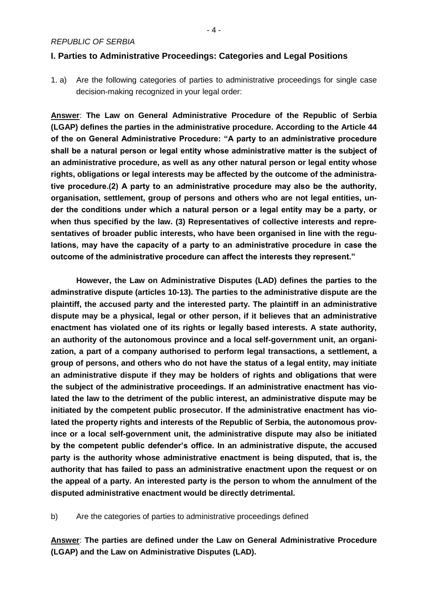## **I. Parties to Administrative Proceedings: Categories and Legal Positions**

1. a) Are the following categories of parties to administrative proceedings for single case decision-making recognized in your legal order:

**Answer**: **The Law on General Administrative Procedure of the Republic of Serbia (LGAP) defines the parties in the administrative procedure. According to the Article 44 of the on General Administrative Procedure: "А party to an administrative procedure shall be а natural person or legal entity whose administrative matter is the subject of an administrative procedure, as well as any other natural person or legal entity whose rights, obligations or legal interests may be affected by the outcome of the administrative procedure.(2) А party to an administrative procedure may also be the authority, organisation, settlement, group of persons and others who are not legal entities, under the conditions under which а natural person or а legal entity may be а party, or when thus specified by the law. (3) Representatives of collective interests and representatives of broader public interests, who have been organised in line with the regulations, may have the capacity of а party to an administrative procedure in case the outcome of the administrative procedure can affect the interests they represent."**

**However, the Law on Administrative Disputes (LAD) defines the parties to the adminstrative dispute (articles 10-13). The parties to the administrative dispute are the plaintiff, the accused party and the interested party. The plaintiff in an administrative dispute may be a physical, legal or other person, if it believes that an administrative enactment has violated one of its rights or legally based interests. A state authority, an authority of the autonomous province and a local self-government unit, an organization, a part of a company authorised to perform legal transactions, a settlement, a group of persons, and others who do not have the status of a legal entity, may initiate an administrative dispute if they may be holders of rights and obligations that were the subject of the administrative proceedings. If an administrative enactment has violated the law to the detriment of the public interest, an administrative dispute may be initiated by the competent public prosecutor. If the administrative enactment has violated the property rights and interests of the Republic of Serbia, the autonomous province or a local self-government unit, the administrative dispute may also be initiated by the competent public defender's office. In an administrative dispute, the accused party is the authority whose administrative enactment is being disputed, that is, the authority that has failed to pass an administrative enactment upon the request or on the appeal of a party. An interested party is the person to whom the annulment of the disputed administrative enactment would be directly detrimental.**

b) Are the categories of parties to administrative proceedings defined

**Answer**: **The parties are defined under the Law on General Administrative Procedure (LGAP) and the Law on Administrative Disputes (LAD).**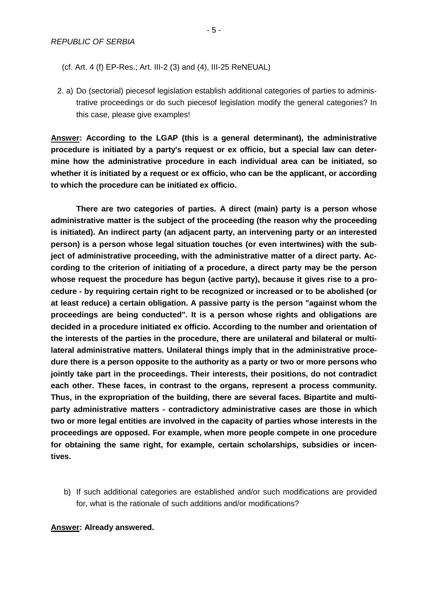- (cf. Art. 4 (f) EP-Res.; Art. III-2 (3) and (4), III-25 ReNEUAL)
- 2. a) Do (sectorial) piecesof legislation establish additional categories of parties to administrative proceedings or do such piecesof legislation modify the general categories? In this case, please give examples!

**Answer: According to the LGAP (this is a general determinant), the administrative procedure is initiated by a party's request or ex officio, but a special law can determine how the administrative procedure in each individual area can be initiated, so whether it is initiated by a request or ex officio, who can be the applicant, or according to which the procedure can be initiated ex officio.**

**There are two categories of parties. A direct (main) party is a person whose administrative matter is the subject of the proceeding (the reason why the proceeding is initiated). An indirect party (an adjacent party, an intervening party or an interested person) is a person whose legal situation touches (or even intertwines) with the subject of administrative proceeding, with the administrative matter of a direct party. According to the criterion of initiating of a procedure, a direct party may be the person whose request the procedure has begun (active party), because it gives rise to a procedure - by requiring certain right to be recognized or increased or to be abolished (or at least reduce) a certain obligation. A passive party is the person "against whom the proceedings are being conducted". It is a person whose rights and obligations are decided in a procedure initiated ex officio. According to the number and orientation of the interests of the parties in the procedure, there are unilateral and bilateral or multilateral administrative matters. Unilateral things imply that in the administrative procedure there is a person opposite to the authority as a party or two or more persons who jointly take part in the proceedings. Their interests, their positions, do not contradict each other. These faces, in contrast to the organs, represent a process community. Thus, in the expropriation of the building, there are several faces. Bipartite and multiparty administrative matters - contradictory administrative cases are those in which two or more legal entities are involved in the capacity of parties whose interests in the proceedings are opposed. For example, when more people compete in one procedure for obtaining the same right, for example, certain scholarships, subsidies or incentives.**

b) If such additional categories are established and/or such modifications are provided for, what is the rationale of such additions and/or modifications?

#### **Answer: Already answered.**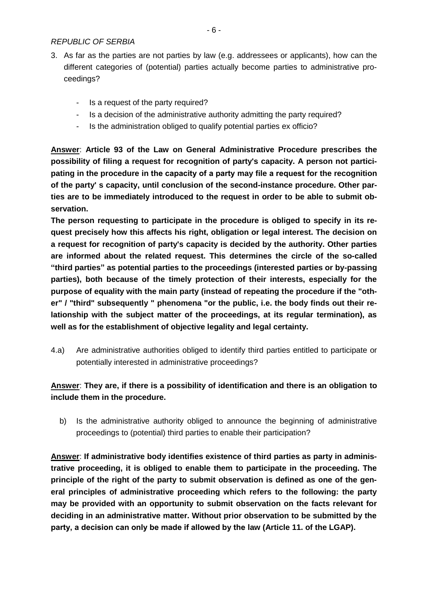- 3. As far as the parties are not parties by law (e.g. addressees or applicants), how can the different categories of (potential) parties actually become parties to administrative proceedings?
	- Is a request of the party required?
	- Is a decision of the administrative authority admitting the party required?
	- Is the administration obliged to qualify potential parties ex officio?

**Answer**: **Article 93 of the Law on General Administrative Procedure prescribes the possibility of filing a request for recognition of party's capacity. A person not participating in the procedure in the capacity of а party may file а request for the recognition of the party' s capacity, until conclusion of the second-instance procedure. Other parties are to be immediately introduced to the request in order to be able to submit observation.** 

**The person requesting to participate in the procedure is obliged to specify in its request precisely how this affects his right, obligation or legal interest. The decision on a request for recognition of party's capacity is decided by the authority. Other parties are informed about the related request. This determines the circle of the so-called "third parties" as potential parties to the proceedings (interested parties or by-passing parties), both because of the timely protection of their interests, especially for the purpose of equality with the main party (instead of repeating the procedure if the "other" / "third" subsequently " phenomena "or the public, i.e. the body finds out their relationship with the subject matter of the proceedings, at its regular termination), as well as for the establishment of objective legality and legal certainty.**

4.a) Are administrative authorities obliged to identify third parties entitled to participate or potentially interested in administrative proceedings?

## **Answer**: **They are, if there is a possibility of identification and there is an obligation to include them in the procedure.**

b) Is the administrative authority obliged to announce the beginning of administrative proceedings to (potential) third parties to enable their participation?

**Answer**: **If administrative body identifies existence of third parties as party in administrative proceeding, it is obliged to enable them to participate in the proceeding. The principle of the right of the party to submit observation is defined as one of the general principles of administrative proceeding which refers to the following: the party may be provided with an opportunity to submit observation on the facts relevant for deciding in an administrative matter. Without prior observation to be submitted by the party, а decision can only be made if allowed by the law (Article 11. of the LGAP).**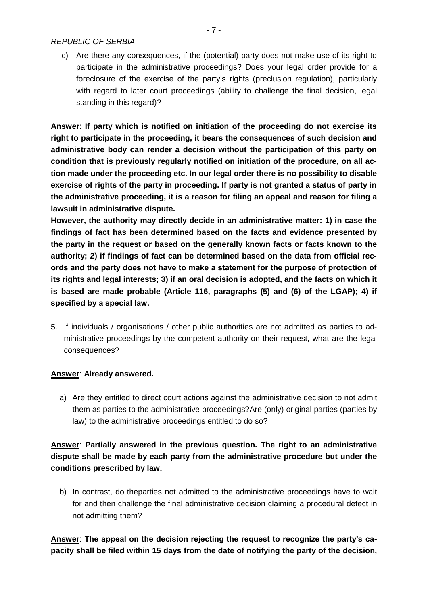c) Are there any consequences, if the (potential) party does not make use of its right to participate in the administrative proceedings? Does your legal order provide for a foreclosure of the exercise of the party's rights (preclusion regulation), particularly with regard to later court proceedings (ability to challenge the final decision, legal standing in this regard)?

**Answer**: **If party which is notified on initiation of the proceeding do not exercise its right to participate in the proceeding, it bears the consequences of such decision and administrative body can render a decision without the participation of this party on condition that is previously regularly notified on initiation of the procedure, on all action made under the proceeding etc. In our legal order there is no possibility to disable exercise of rights of the party in proceeding. If party is not granted a status of party in the administrative proceeding, it is a reason for filing an appeal and reason for filing a lawsuit in administrative dispute.**

**However, the authority may directly decide in an administrative matter: 1) in case the findings of fact has been determined based on the facts and evidence presented by the party in the request or based on the generally known facts or facts known to the authority; 2) if findings of fact can be determined based on the data from official records and the party does not have to make а statement for the purpose of protection of its rights and legal interests; 3) if an oral decision is adopted, and the facts on which it is based are made probable (Article 116, paragraphs (5) and (6) of the LGAP); 4) if specified by а special law.**

5. If individuals / organisations / other public authorities are not admitted as parties to administrative proceedings by the competent authority on their request, what are the legal consequences?

#### **Answer**: **Already answered.**

a) Are they entitled to direct court actions against the administrative decision to not admit them as parties to the administrative proceedings?Are (only) original parties (parties by law) to the administrative proceedings entitled to do so?

**Answer**: **Partially answered in the previous question. The right to an administrative dispute shall be made by each party from the administrative procedure but under the conditions prescribed by law.**

b) In contrast, do theparties not admitted to the administrative proceedings have to wait for and then challenge the final administrative decision claiming a procedural defect in not admitting them?

**Answer**: **The арреаl on the decision rejecting the request to recognize the party's capacity shall be filed within 15 days from the date of notifying the party of the decision,**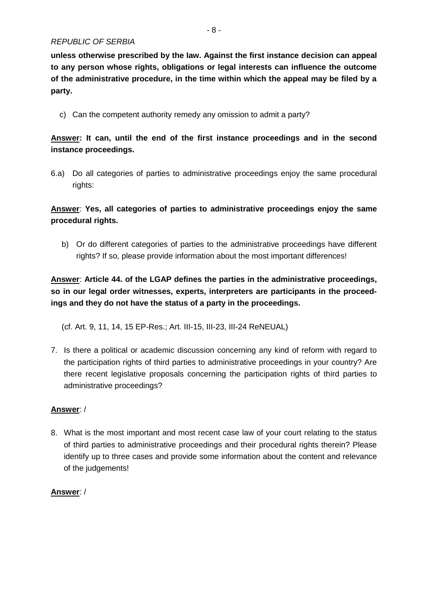**unless otherwise prescribed by the Iaw. Against the first instance decision can appeal to any person whose rights, obligations or legal interests can influence the outcome of the administrative procedure, in the time within which the appeal may be filed by a party.**

c) Can the competent authority remedy any omission to admit a party?

## **Answer: It can, until the end of the first instance proceedings and in the second instance proceedings.**

6.a) Do all categories of parties to administrative proceedings enjoy the same procedural rights:

## **Answer**: **Yes, all categories of parties to administrative proceedings enjoy the same procedural rights.**

b) Or do different categories of parties to the administrative proceedings have different rights? If so, please provide information about the most important differences!

**Answer**: **Article 44. of the LGAP defines the parties in the administrative proceedings, so in our legal order witnesses, experts, interpreters are participants in the proceedings and they do not have the status of a party in the proceedings.**

(cf. Art. 9, 11, 14, 15 EP-Res.; Art. III-15, III-23, III-24 ReNEUAL)

7. Is there a political or academic discussion concerning any kind of reform with regard to the participation rights of third parties to administrative proceedings in your country? Are there recent legislative proposals concerning the participation rights of third parties to administrative proceedings?

## **Answer**: /

8. What is the most important and most recent case law of your court relating to the status of third parties to administrative proceedings and their procedural rights therein? Please identify up to three cases and provide some information about the content and relevance of the judgements!

## **Answer**: /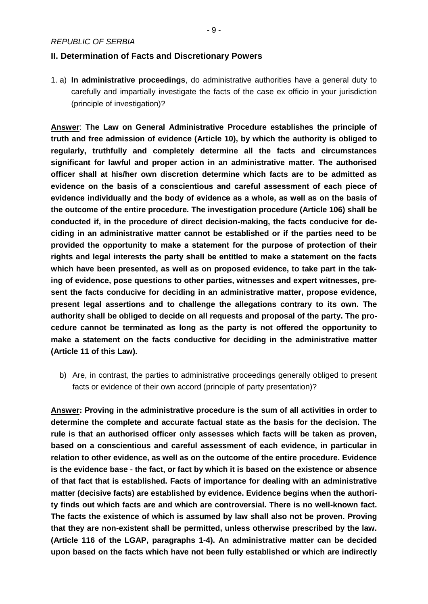#### **II. Determination of Facts and Discretionary Powers**

1. a) **In administrative proceedings**, do administrative authorities have a general duty to carefully and impartially investigate the facts of the case ex officio in your jurisdiction (principle of investigation)?

**Answer**: **The Law on General Administrative Procedure establishes the principle of truth and free admission of evidence (Article 10), by which the authority is obliged to regularly, truthfully and completely determine all the facts and circumstances significant for lawful and proper action in an administrative matter. The authorised officer shall at his/her own discretion determine which facts are to be admitted as evidence on the basis of а conscientious and careful assessment of each рiесе of evidence individually and the body of evidence as а whole, as well as on the basis of the outcome of the entire procedure. The investigation procedure (Article 106) shall be conducted if, in the procedure of direct decision-making, the facts conducive for deciding in an administrative matter cannot be established or if the parties need to be provided the opportunity to make а statement for the purpose of protection of their rights and legal interests the party shall be entitled to make а statement on the facts which have been presented, as well as on proposed evidence, to take part in the taking of evidence, pose questions to other parties, witnesses and expert witnesses, present the facts conducive for deciding in an administrative matter, propose evidence, present legal assertions and to challenge the allegations contrary to its own. The authority shall be obliged to decide on all requests and proposal of the party. The procedure cannot be terminated as long as the party is not offered the opportunity to make a statement on the facts conductive for deciding in the administrative matter (Article 11 of this Law).**

b) Are, in contrast, the parties to administrative proceedings generally obliged to present facts or evidence of their own accord (principle of party presentation)?

**Answer: Proving in the administrative procedure is the sum of all activities in order to determine the complete and accurate factual state as the basis for the decision. The rule is that an authorised officer only assesses which facts will be taken as proven, based on a conscientious and careful assessment of each evidence, in particular in relation to other evidence, as well as on the outcome of the entire procedure. Evidence is the evidence base - the fact, or fact by which it is based on the existence or absence of that fact that is established. Facts of importance for dealing with an administrative matter (decisive facts) are established by evidence. Evidence begins when the authority finds out which facts are and which are controversial. There is no well-known fact. The facts the existence of which is assumed by law shall also not be proven. Proving that they are non-existent shall be permitted, unless otherwise prescribed by the law. (Article 116 of the LGAP, paragraphs 1-4). An administrative matter can be decided upon based on the facts which have not been fully established or which are indirectly**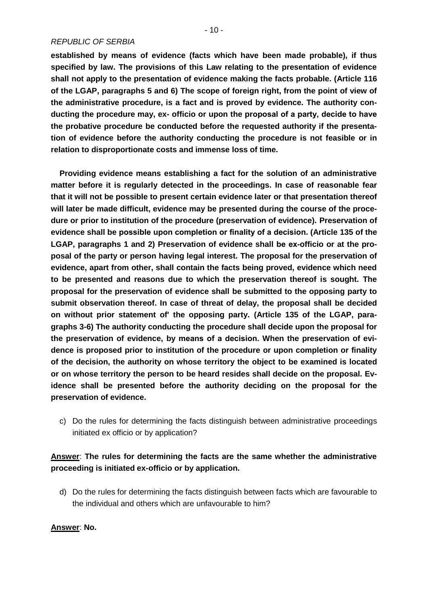**established by means of evidence (facts which have been made probable), if thus specified by law. The provisions of this Law relating to the presentation of evidence shall not apply to the presentation of evidence making the facts probable. (Article 116 of the LGAP, paragraphs 5 and 6) The scope of foreign right, from the point of view of the administrative procedure, is a fact and is proved by evidence. The authority conducting the procedure may, ex- officio or upon the proposal of а party, decide to have the probative procedure be conducted before the requested authority if the presentation of evidence before the authority conducting the procedure is not feasible or in relation to disproportionate costs and immense loss of time.**

**Providing evidence means establishing a fact for the solution of an administrative matter before it is regularly detected in the proceedings. In case of reasonable fear that it will not be possible to present certain evidence later or that presentation thereof will later be made difficult, evidence may be presented during the course of the procedure or prior to institution of the procedure (preservation of evidence). Preservation of evidence shall be possible upon completion or finality of а decision. (Article 135 of the LGAP, paragraphs 1 and 2) Preservation of evidence shall be ех-officio or at the proposal of the party or person having legal interest. The proposal for the preservation of evidence, apart from other, shall contain the facts being proved, evidence which need to be presented and reasons due to which the preservation thereof is sought. The proposal for the preservation of evidence shall be submitted to the opposing party to submit observation thereof. In case of threat of delay, the proposal shall be decided on without prior statement of' the opposing party. (Article 135 of the LGAP, paragraphs 3-6) The authority conducting the procedure shall decide upon the proposal for the preservation of evidence, by means of а decision. When the preservation of evidence is proposed prior to institution of the procedure or upon completion or finality of the decision, the authority on whose territory the object to be examined is located or on whose territory the person to be heard resides shall decide on the proposal. Evidence shall be presented before the authority deciding on the proposal for the preservation of evidence.**

c) Do the rules for determining the facts distinguish between administrative proceedings initiated ex officio or by application?

**Answer**: **The rules for determining the facts are the same whether the administrative proceeding is initiated ex-officio or by application.**

d) Do the rules for determining the facts distinguish between facts which are favourable to the individual and others which are unfavourable to him?

#### **Answer**: **No.**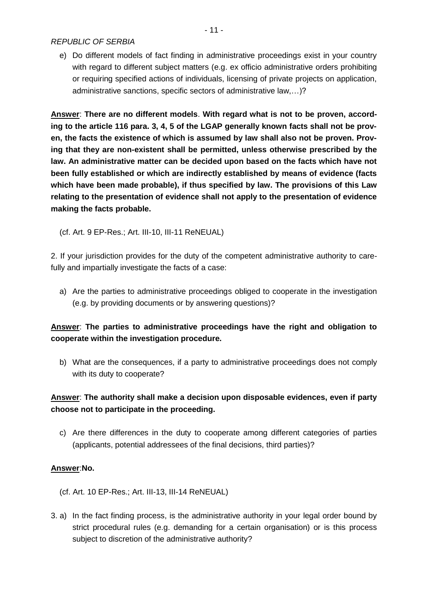e) Do different models of fact finding in administrative proceedings exist in your country with regard to different subject matters (e.g. ex officio administrative orders prohibiting or requiring specified actions of individuals, licensing of private projects on application, administrative sanctions, specific sectors of administrative law,…)?

**Answer**: **There are no different models**. **With regard what is not to be proven, according to the article 116 para. 3, 4, 5 of the LGAP generally known facts shall not be proven, the facts the existence of which is assumed by law shall also not be proven. Proving that they are non-existent shall be permitted, unless otherwise prescribed by the law. An administrative matter can be decided upon based on the facts which have not been fully established or which are indirectly established by means of evidence (facts which have been made probable), if thus specified by law. The provisions of this Law relating to the presentation of evidence shall not apply to the presentation of evidence making the facts probable.**

(cf. Art. 9 EP-Res.; Art. III-10, III-11 ReNEUAL)

2. If your jurisdiction provides for the duty of the competent administrative authority to carefully and impartially investigate the facts of a case:

a) Are the parties to administrative proceedings obliged to cooperate in the investigation (e.g. by providing documents or by answering questions)?

## **Answer**: **The parties to administrative proceedings have the right and obligation to cooperate within the investigation procedure.**

b) What are the consequences, if a party to administrative proceedings does not comply with its duty to cooperate?

## **Answer**: **The authority shall make a decision upon disposable evidences, even if party choose not to participate in the proceeding.**

c) Are there differences in the duty to cooperate among different categories of parties (applicants, potential addressees of the final decisions, third parties)?

## **Answer**:**No.**

- (cf. Art. 10 EP-Res.; Art. III-13, III-14 ReNEUAL)
- 3. a) In the fact finding process, is the administrative authority in your legal order bound by strict procedural rules (e.g. demanding for a certain organisation) or is this process subject to discretion of the administrative authority?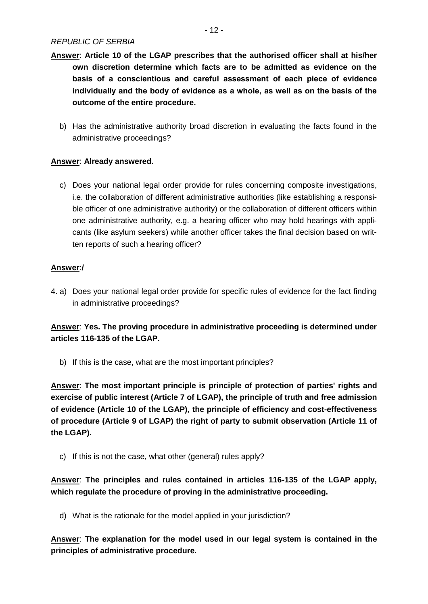- **Answer**: **Article 10 of the LGAP prescribes that the authorised officer shall at his/her own discretion determine which facts are to be admitted as evidence on the basis of а conscientious and careful assessment of each рiесе of evidence individually and the body of evidence as а whole, as well as on the basis of the outcome of the entire procedure.**
	- b) Has the administrative authority broad discretion in evaluating the facts found in the administrative proceedings?

### **Answer**: **Already answered.**

c) Does your national legal order provide for rules concerning composite investigations, i.e. the collaboration of different administrative authorities (like establishing a responsible officer of one administrative authority) or the collaboration of different officers within one administrative authority, e.g. a hearing officer who may hold hearings with applicants (like asylum seekers) while another officer takes the final decision based on written reports of such a hearing officer?

#### **Answer**:**/**

4. a) Does your national legal order provide for specific rules of evidence for the fact finding in administrative proceedings?

**Answer**: **Yes. The proving procedure in administrative proceeding is determined under articles 116-135 of the LGAP.**

b) If this is the case, what are the most important principles?

**Answer**: **The most important principle is principle of protection of parties' rights and exercise of public interest (Article 7 of LGAP), the principle of truth and free admission of evidence (Article 10 of the LGAP), the principle of efficiency and cost-effectiveness of procedure (Article 9 of LGAP) the right of party to submit observation (Article 11 of the LGAP).**

c) If this is not the case, what other (general) rules apply?

**Answer**: **The principles and rules contained in articles 116-135 of the LGAP apply, which regulate the procedure of proving in the administrative proceeding.**

d) What is the rationale for the model applied in your jurisdiction?

**Answer**: **The explanation for the model used in our legal system is contained in the principles of administrative procedure.**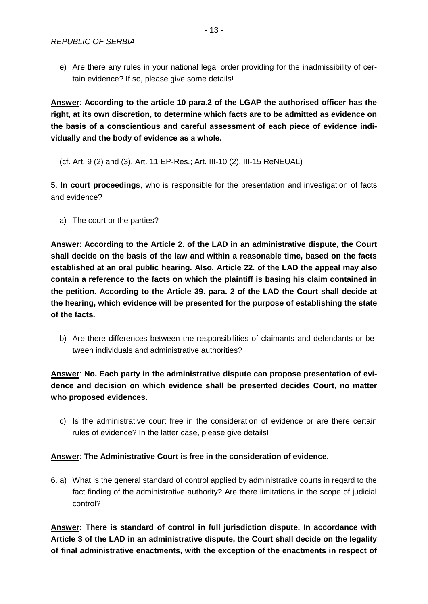e) Are there any rules in your national legal order providing for the inadmissibility of certain evidence? If so, please give some details!

**Answer**: **According to the article 10 para.2 of the LGAP the authorised officer has the right, at its own discretion, to determine which facts are to be admitted as evidence on the basis of а conscientious and careful assessment of each piece of evidence individually and the body of evidence as а whole.**

(cf. Art. 9 (2) and (3), Art. 11 EP-Res.; Art. III-10 (2), III-15 ReNEUAL)

5. **In court proceedings**, who is responsible for the presentation and investigation of facts and evidence?

a) The court or the parties?

**Answer**: **According to the Article 2. of the LAD in an administrative dispute, the Court shall decide on the basis of the law and within a reasonable time, based on the facts established at an oral public hearing. Also, Article 22. of the LAD the appeal may also contain a reference to the facts on which the plaintiff is basing his claim contained in the petition. According to the Article 39. para. 2 of the LAD the Court shall decide at the hearing, which evidence will be presented for the purpose of establishing the state of the facts.**

b) Are there differences between the responsibilities of claimants and defendants or between individuals and administrative authorities?

**Answer**: **No. Each party in the administrative dispute can propose presentation of evidence and decision on which evidence shall be presented decides Court, no matter who proposed evidences.** 

c) Is the administrative court free in the consideration of evidence or are there certain rules of evidence? In the latter case, please give details!

## **Answer**: **The Administrative Court is free in the consideration of evidence.**

6. a) What is the general standard of control applied by administrative courts in regard to the fact finding of the administrative authority? Are there limitations in the scope of judicial control?

**Answer: There is standard of control in full jurisdiction dispute. In accordance with Article 3 of the LAD in an administrative dispute, the Court shall decide on the legality of final administrative enactments, with the exception of the enactments in respect of**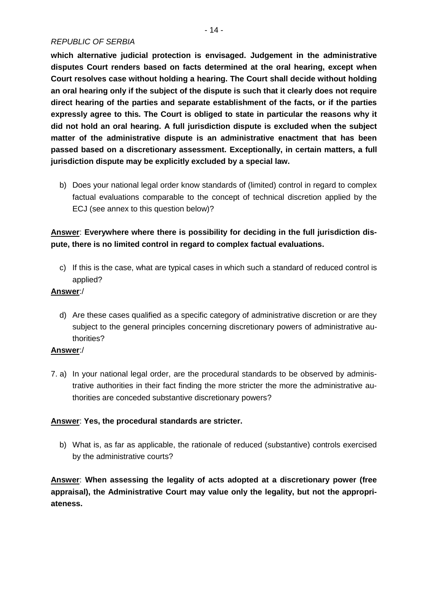**which alternative judicial protection is envisaged. Judgement in the administrative disputes Court renders based on facts determined at the oral hearing, except when Court resolves case without holding a hearing. The Court shall decide without holding an oral hearing only if the subject of the dispute is such that it clearly does not require direct hearing of the parties and separate establishment of the facts, or if the parties expressly agree to this. The Court is obliged to state in particular the reasons why it did not hold an oral hearing. A full jurisdiction dispute is excluded when the subject matter of the administrative dispute is an administrative enactment that has been passed based on a discretionary assessment. Exceptionally, in certain matters, a full jurisdiction dispute may be explicitly excluded by a special law.**

b) Does your national legal order know standards of (limited) control in regard to complex factual evaluations comparable to the concept of technical discretion applied by the ECJ (see annex to this question below)?

## **Answer**: **Everywhere where there is possibility for deciding in the full jurisdiction dispute, there is no limited control in regard to complex factual evaluations.**

c) If this is the case, what are typical cases in which such a standard of reduced control is applied?

### **Answer**:/

d) Are these cases qualified as a specific category of administrative discretion or are they subject to the general principles concerning discretionary powers of administrative authorities?

#### **Answer**:/

7. a) In your national legal order, are the procedural standards to be observed by administrative authorities in their fact finding the more stricter the more the administrative authorities are conceded substantive discretionary powers?

## **Answer**: **Yes, the procedural standards are stricter.**

b) What is, as far as applicable, the rationale of reduced (substantive) controls exercised by the administrative courts?

**Answer**: **When assessing the legality of acts adopted at a discretionary power (free appraisal), the Administrative Court may value only the legality, but not the appropriateness.**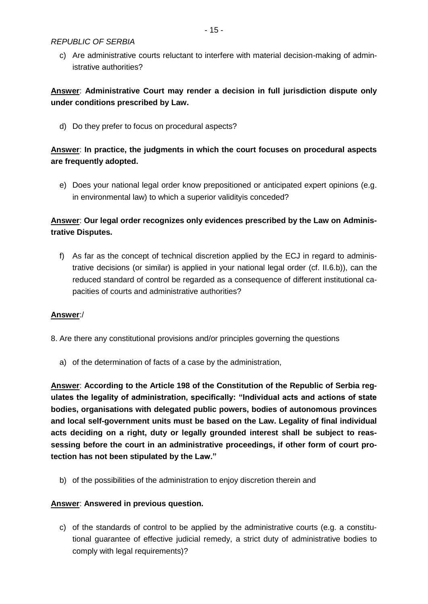c) Are administrative courts reluctant to interfere with material decision-making of administrative authorities?

## **Answer**: **Administrative Court may render a decision in full jurisdiction dispute only under conditions prescribed by Law.**

d) Do they prefer to focus on procedural aspects?

## **Answer**: **In practice, the judgments in which the court focuses on procedural aspects are frequently adopted.**

e) Does your national legal order know prepositioned or anticipated expert opinions (e.g. in environmental law) to which a superior validityis conceded?

## **Answer**: **Our legal order recognizes only evidences prescribed by the Law on Administrative Disputes.**

f) As far as the concept of technical discretion applied by the ECJ in regard to administrative decisions (or similar) is applied in your national legal order (cf. II.6.b)), can the reduced standard of control be regarded as a consequence of different institutional capacities of courts and administrative authorities?

## **Answer**:/

- 8. Are there any constitutional provisions and/or principles governing the questions
	- a) of the determination of facts of a case by the administration,

**Answer**: **According to the Article 198 of the Constitution of the Republic of Serbia regulates the legality of administration, specifically: "Individual acts and actions of state bodies, organisations with delegated public powers, bodies of autonomous provinces and local self-government units must be based on the Law. Legality of final individual acts deciding on a right, duty or legally grounded interest shall be subject to reassessing before the court in an administrative proceedings, if other form of court protection has not been stipulated by the Law."**

b) of the possibilities of the administration to enjoy discretion therein and

#### **Answer**: **Answered in previous question.**

c) of the standards of control to be applied by the administrative courts (e.g. a constitutional guarantee of effective judicial remedy, a strict duty of administrative bodies to comply with legal requirements)?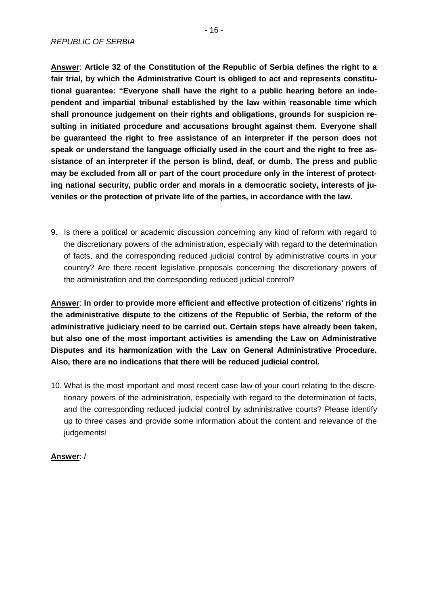**Answer**: **Article 32 of the Constitution of the Republic of Serbia defines the right to a fair trial, by which the Administrative Court is obliged to act and represents constitutional guarantee: "Everyone shall have the right to a public hearing before an independent and impartial tribunal established by the law within reasonable time which shall pronounce judgement on their rights and obligations, grounds for suspicion resulting in initiated procedure and accusations brought against them. Everyone shall be guaranteed the right to free assistance of an interpreter if the person does not speak or understand the language officially used in the court and the right to free assistance of an interpreter if the person is blind, deaf, or dumb. The press and public may be excluded from all or part of the court procedure only in the interest of protecting national security, public order and morals in a democratic society, interests of juveniles or the protection of private life of the parties, in accordance with the law.**

9. Is there a political or academic discussion concerning any kind of reform with regard to the discretionary powers of the administration, especially with regard to the determination of facts, and the corresponding reduced judicial control by administrative courts in your country? Are there recent legislative proposals concerning the discretionary powers of the administration and the corresponding reduced judicial control?

**Answer**: **In order to provide more efficient and effective protection of citizens' rights in the administrative dispute to the citizens of the Republic of Serbia, the reform of the administrative judiciary need to be carried out. Certain steps have already been taken, but also one of the most important activities is amending the Law on Administrative Disputes and its harmonization with the Law on General Administrative Procedure. Also, there are no indications that there will be reduced judicial control.**

10. What is the most important and most recent case law of your court relating to the discretionary powers of the administration, especially with regard to the determination of facts, and the corresponding reduced judicial control by administrative courts? Please identify up to three cases and provide some information about the content and relevance of the judgements!

**Answer**: /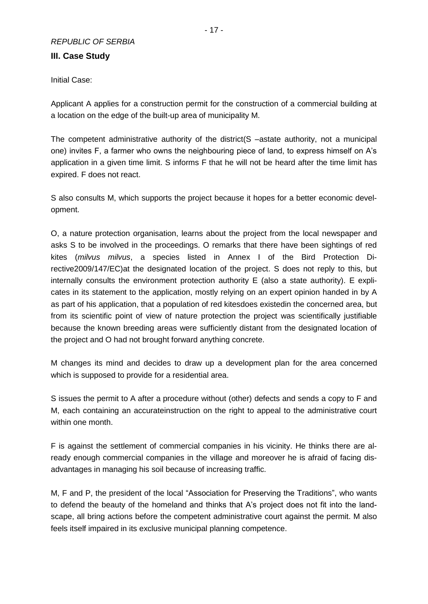## *REPUBLIC OF SERBIA* **III. Case Study**

Initial Case:

Applicant A applies for a construction permit for the construction of a commercial building at a location on the edge of the built-up area of municipality M.

The competent administrative authority of the district(S –astate authority, not a municipal one) invites F, a farmer who owns the neighbouring piece of land, to express himself on A's application in a given time limit. S informs F that he will not be heard after the time limit has expired. F does not react.

S also consults M, which supports the project because it hopes for a better economic development.

O, a nature protection organisation, learns about the project from the local newspaper and asks S to be involved in the proceedings. O remarks that there have been sightings of red kites (*milvus milvus*, a species listed in Annex I of the Bird Protection Directive2009/147/EC)at the designated location of the project. S does not reply to this, but internally consults the environment protection authority E (also a state authority). E explicates in its statement to the application, mostly relying on an expert opinion handed in by A as part of his application, that a population of red kitesdoes existedin the concerned area, but from its scientific point of view of nature protection the project was scientifically justifiable because the known breeding areas were sufficiently distant from the designated location of the project and O had not brought forward anything concrete.

M changes its mind and decides to draw up a development plan for the area concerned which is supposed to provide for a residential area.

S issues the permit to A after a procedure without (other) defects and sends a copy to F and M, each containing an accurateinstruction on the right to appeal to the administrative court within one month.

F is against the settlement of commercial companies in his vicinity. He thinks there are already enough commercial companies in the village and moreover he is afraid of facing disadvantages in managing his soil because of increasing traffic.

M, F and P, the president of the local "Association for Preserving the Traditions", who wants to defend the beauty of the homeland and thinks that A's project does not fit into the landscape, all bring actions before the competent administrative court against the permit. M also feels itself impaired in its exclusive municipal planning competence.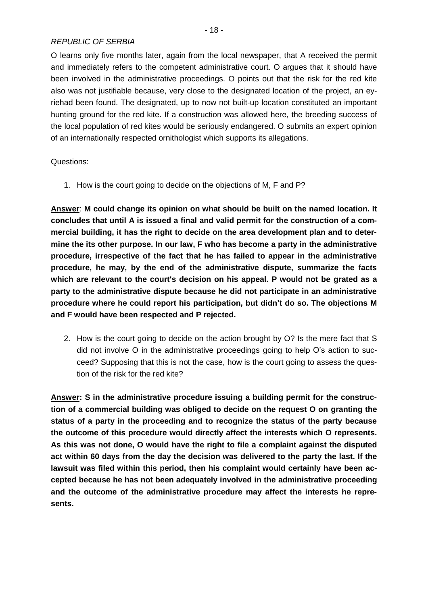O learns only five months later, again from the local newspaper, that A received the permit and immediately refers to the competent administrative court. O argues that it should have been involved in the administrative proceedings. O points out that the risk for the red kite also was not justifiable because, very close to the designated location of the project, an eyriehad been found. The designated, up to now not built-up location constituted an important hunting ground for the red kite. If a construction was allowed here, the breeding success of the local population of red kites would be seriously endangered. O submits an expert opinion of an internationally respected ornithologist which supports its allegations.

#### Questions:

1. How is the court going to decide on the objections of M, F and P?

**Answer**: **M could change its opinion on what should be built on the named location. It concludes that until A is issued a final and valid permit for the construction of a commercial building, it has the right to decide on the area development plan and to determine the its other purpose. In our law, F who has become a party in the administrative procedure, irrespective of the fact that he has failed to appear in the administrative procedure, he may, by the end of the administrative dispute, summarize the facts which are relevant to the court's decision on his appeal. P would not be grated as a party to the administrative dispute because he did not participate in an administrative procedure where he could report his participation, but didn't do so. The objections M and F would have been respected and P rejected.**

2. How is the court going to decide on the action brought by O? Is the mere fact that S did not involve O in the administrative proceedings going to help O's action to succeed? Supposing that this is not the case, how is the court going to assess the question of the risk for the red kite?

**Answer: S in the administrative procedure issuing a building permit for the construction of a commercial building was obliged to decide on the request O on granting the status of a party in the proceeding and to recognize the status of the party because the outcome of this procedure would directly affect the interests which O represents. As this was not done, O would have the right to file a complaint against the disputed act within 60 days from the day the decision was delivered to the party the last. If the lawsuit was filed within this period, then his complaint would certainly have been accepted because he has not been adequately involved in the administrative proceeding and the outcome of the administrative procedure may affect the interests he represents.**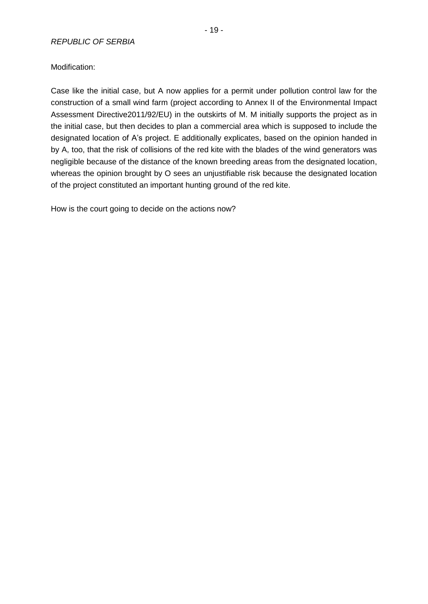Case like the initial case, but A now applies for a permit under pollution control law for the construction of a small wind farm (project according to Annex II of the Environmental Impact Assessment Directive2011/92/EU) in the outskirts of M. M initially supports the project as in the initial case, but then decides to plan a commercial area which is supposed to include the designated location of A's project. E additionally explicates, based on the opinion handed in by A, too, that the risk of collisions of the red kite with the blades of the wind generators was negligible because of the distance of the known breeding areas from the designated location, whereas the opinion brought by O sees an unjustifiable risk because the designated location of the project constituted an important hunting ground of the red kite.

How is the court going to decide on the actions now?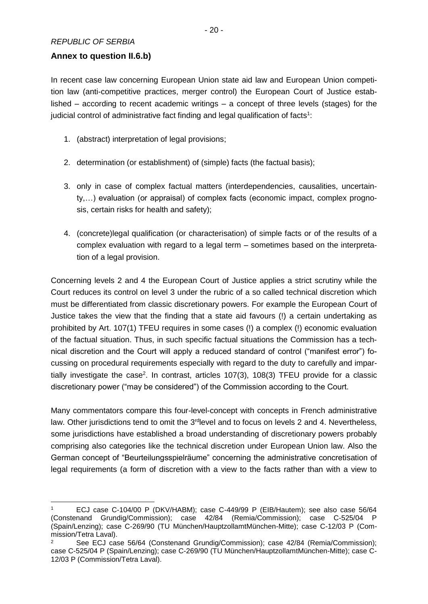-

## **Annex to question II.6.b)**

In recent case law concerning European Union state aid law and European Union competition law (anti-competitive practices, merger control) the European Court of Justice established – according to recent academic writings – a concept of three levels (stages) for the judicial control of administrative fact finding and legal qualification of facts<sup>1</sup>:

- 1. (abstract) interpretation of legal provisions;
- 2. determination (or establishment) of (simple) facts (the factual basis);
- 3. only in case of complex factual matters (interdependencies, causalities, uncertainty,…) evaluation (or appraisal) of complex facts (economic impact, complex prognosis, certain risks for health and safety);
- 4. (concrete)legal qualification (or characterisation) of simple facts or of the results of a complex evaluation with regard to a legal term – sometimes based on the interpretation of a legal provision.

Concerning levels 2 and 4 the European Court of Justice applies a strict scrutiny while the Court reduces its control on level 3 under the rubric of a so called technical discretion which must be differentiated from classic discretionary powers. For example the European Court of Justice takes the view that the finding that a state aid favours (!) a certain undertaking as prohibited by Art. 107(1) TFEU requires in some cases (!) a complex (!) economic evaluation of the factual situation. Thus, in such specific factual situations the Commission has a technical discretion and the Court will apply a reduced standard of control ("manifest error") focussing on procedural requirements especially with regard to the duty to carefully and impartially investigate the case<sup>2</sup>. In contrast, articles 107(3), 108(3) TFEU provide for a classic discretionary power ("may be considered") of the Commission according to the Court.

Many commentators compare this four-level-concept with concepts in French administrative law. Other jurisdictions tend to omit the  $3<sup>rd</sup>$ evel and to focus on levels 2 and 4. Nevertheless, some jurisdictions have established a broad understanding of discretionary powers probably comprising also categories like the technical discretion under European Union law. Also the German concept of "Beurteilungsspielräume" concerning the administrative concretisation of legal requirements (a form of discretion with a view to the facts rather than with a view to

<sup>1</sup> ECJ case C-104/00 P (DKV/HABM); case C-449/99 P (EIB/Hautem); see also case 56/64 (Constenand Grundig/Commission); case 42/84 (Remia/Commission); case C-525/04 P (Spain/Lenzing); case C-269/90 (TU München/HauptzollamtMünchen-Mitte); case C-12/03 P (Commission/Tetra Laval).

See ECJ case 56/64 (Constenand Grundig/Commission); case 42/84 (Remia/Commission); case C-525/04 P (Spain/Lenzing); case C-269/90 (TU München/HauptzollamtMünchen-Mitte); case C-12/03 P (Commission/Tetra Laval).